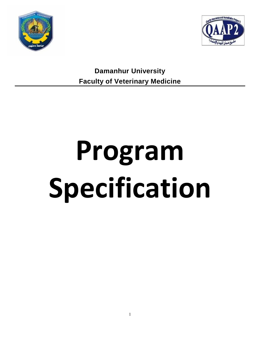



**Damanhur University Faculty of Veterinary Medicine**

# **Program Specification**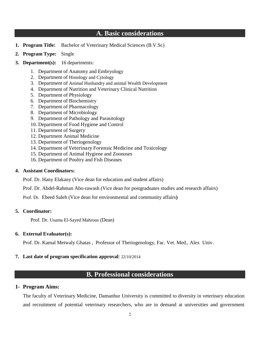# **A. Basic considerations**

- **1. Program Title:** Bachelor of Veterinary Medical Sciences (B.V.Sc)
- **2. Program Type:** Single

### **3. Department(s):** 16 departments:

- 1. Department of Anatomy and Embryology
- 2. Department of Histology and Cytology
- 3. Department of Animal Husbandry and animal Wealth Development
- 4. Department of Nutrition and Veterinary Clinical Nutrition
- 5. Department of Physiology
- 6. Department of Biochemistry
- 7. Department of Pharmacology
- 8. Department of Microbiology
- 9. Department of Pathology and Parasitology
- 10. Department of Food Hygiene and Control
- 11. Department of Surgery
- 12. Department Animal Medicine
- 13. Department of Theriogenology
- 14. Department of Veterinary Forensic Medicine and Toxicology
- 15. Department of Animal Hygiene and Zoonoses
- 16. Department of Poultry and Fish Diseases

#### **4. Assistant Coordinators:**

Prof. Dr. Hany Elakany (Vice dean for education and student affairs)

Prof. Dr. Abdel-Rahman Abo-rawash (Vice dean for postgraduates studies and research affairs)

Prof. Dr. Ebeed Saleh (Vice dean for environmental and community affairs**)**

## **5. Coordinator:**

Prof. Dr. Usama El-Sayed Mahrous (Dean)

## **6. External Evaluator(s):**

Prof. Dr. Kamal Metwaly Ghatas , Professor of Theriogenology, Fac. Vet. Med., Alex Univ.

#### **7. Last date of program specification approval**: 22/10/2014

# **B. Professional considerations**

## **1- Program Aims:**

The faculty of Veterinary Medicine, Damanhur University is committed to diversity in veterinary education and recruitment of potential veterinary researchers, who are in demand at universities and government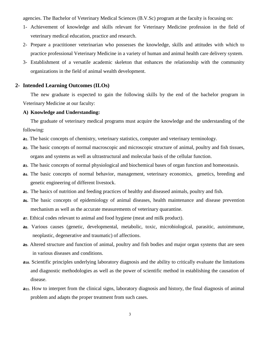agencies. The Bachelor of Veterinary Medical Sciences (B.V.Sc) program at the faculty is focusing on:

- 1- Achievement of knowledge and skills relevant for Veterinary Medicine profession in the field of veterinary medical education, practice and research.
- 2- Prepare a practitioner veterinarian who possesses the knowledge, skills and attitudes with which to practice professional Veterinary Medicine in a variety of human and animal health care delivery system.
- 3- Establishment of a versatile academic skeleton that enhances the relationship with the community organizations in the field of animal wealth development.

## **2- Intended Learning Outcomes (ILOs)**

The new graduate is expected to gain the following skills by the end of the bachelor program in Veterinary Medicine at our faculty:

# **A) Knowledge and Understanding:**

The graduate of veterinary medical programs must acquire the knowledge and the understanding of the following:

- **a1**. The basic concepts of chemistry, veterinary statistics, computer and veterinary terminology.
- **a2**. The basic concepts of normal macroscopic and microscopic structure of animal, poultry and fish tissues, organs and systems as well as ultrastructural and molecular basis of the cellular function.
- **a3**. The basic concepts of normal physiological and biochemical bases of organ function and homeostasis.
- **a4**. The basic concepts of normal behavior, management, veterinary economics, genetics, breeding and genetic engineering of different livestock.
- **a5**. The basics of nutrition and feeding practices of healthy and diseased animals, poultry and fish.
- **a6**. The basic concepts of epidemiology of animal diseases, health maintenance and disease prevention mechanism as well as the accurate measurements of veterinary quarantine.
- **a7**. Ethical codes relevant to animal and food hygiene (meat and milk product).
- **a8**. Various causes (genetic, developmental, metabolic, toxic, microbiological, parasitic, autoimmune, neoplastic, degenerative and traumatic) of affections.
- **a9**. Altered structure and function of animal, poultry and fish bodies and major organ systems that are seen in various diseases and conditions.
- **a10**. Scientific principles underlying laboratory diagnosis and the ability to critically evaluate the limitations and diagnostic methodologies as well as the power of scientific method in establishing the causation of disease.
- **a11**. How to interpret from the clinical signs, laboratory diagnosis and history, the final diagnosis of animal problem and adapts the proper treatment from such cases.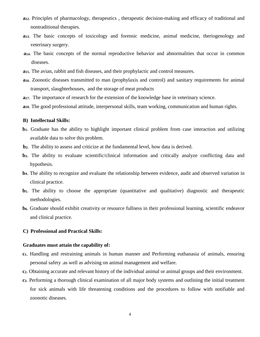- **a12**. Principles of pharmacology, therapeutics , therapeutic decision-making and efficacy of traditional and nontraditional therapies.
- **a13**. The basic concepts of toxicology and forensic medicine, animal medicine, theriogenology and veterinary surgery.
- **a14**. The basic concepts of the normal reproductive behavior and abnormalities that occur in common diseases.
- **a15**. The avian, rabbit and fish diseases, and their prophylactic and control measures.
- **a16**. Zoonotic diseases transmitted to man (prophylaxis and control) and sanitary requirements for animal transport, slaughterhouses, and the storage of meat products
- **a17**. The importance of research for the extension of the knowledge base in veterinary science.
- **a18**. The good professional attitude, interpersonal skills, team working, communication and human rights.

#### **B) Intellectual Skills:**

- **b1**. Graduate has the ability to highlight important clinical problem from case interaction and utilizing available data to solve this problem.
- **b2**. The ability to assess and criticize at the fundamental level, how data is derived.
- **b3**. The ability to evaluate scientific/clinical information and critically analyze conflicting data and hypothesis.
- **b4**. The ability to recognize and evaluate the relationship between evidence, audit and observed variation in clinical practice.
- **b5**. The ability to choose the appropriate (quantitative and qualitative) diagnostic and therapeutic methodologies.
- **b6**. Graduate should exhibit creativity or resource fullness in their professional learning, scientific endeavor and clinical practice.

#### **C) Professional and Practical Skills:**

#### **Graduates must attain the capability of:**

- **c1**. Handling and restraining animals in human manner and Performing euthanasia of animals, ensuring personal safety .as well as advising on animal management and welfare.
- **c2**. Obtaining accurate and relevant history of the individual animal or animal groups and their environment.
- **c3**. Performing a thorough clinical examination of all major body systems and outlining the initial treatment for sick animals with life threatening conditions and the procedures to follow with notifiable and zoonotic diseases.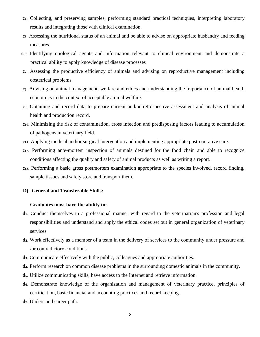- **c4**. Collecting, and preserving samples, performing standard practical techniques, interpreting laboratory results and integrating those with clinical examination.
- **c5**. Assessing the nutritional status of an animal and be able to advise on appropriate husbandry and feeding measures.
- **c6** Identifying etiological agents and information relevant to clinical environment and demonstrate a practical ability to apply knowledge of disease processes
- **c7**. Assessing the productive efficiency of animals and advising on reproductive management including obstetrical problems.
- **c8**. Advising on animal management, welfare and ethics and understanding the importance of animal health economics in the context of acceptable animal welfare.
- **c9**. Obtaining and record data to prepare current and/or retrospective assessment and analysis of animal health and production record.
- **c10**. Minimizing the risk of contamination, cross infection and predisposing factors leading to accumulation of pathogens in veterinary field.
- **c11**. Applying medical and/or surgical intervention and implementing appropriate post-operative care.
- **c12**. Performing ante-mortem inspection of animals destined for the food chain and able to recognize conditions affecting the quality and safety of animal products as well as writing a report.
- **c13**. Performing a basic gross postmortem examination appropriate to the species involved, record finding, sample tissues and safely store and transport them.

## **D) General and Transferable Skills:**

#### **Graduates must have the ability to:**

- **d1**. Conduct themselves in a professional manner with regard to the veterinarian's profession and legal responsibilities and understand and apply the ethical codes set out in general organization of veterinary services.
- **d2**. Work effectively as a member of a team in the delivery of services to the community under pressure and /or contradictory conditions.
- **d3**. Communicate effectively with the public, colleagues and appropriate authorities.
- **d4**. Perform research on common disease problems in the surrounding domestic animals in the community.
- **d5**. Utilize communicating skills, have access to the Internet and retrieve information.
- **d6**. Demonstrate knowledge of the organization and management of veterinary practice, principles of certification, basic financial and accounting practices and record keeping.
- **d7**. Understand career path.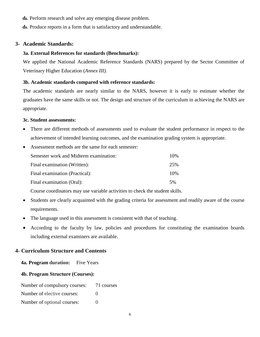**d8**. Perform research and solve any emerging disease problem.

**d9**. Produce reports in a form that is satisfactory and understandable.

## **3- Academic Standards:**

## **3a. External References for standards (Benchmarks):**

We applied the National Academic Reference Standards (NARS) prepared by the Sector Committee of Veterinary Higher Education (*Annex III).*

## **3b. Academic standards compared with reference standards:**

The academic standards are nearly similar to the NARS, however it is early to estimate whether the graduates have the same skills or not. The design and structure of the curriculum in achieving the NARS are appropriate.

#### **3c. Student assessments:**

- There are different methods of assessments used to evaluate the student performance in respect to the achievement of intended learning outcomes, and the examination grading system is appropriate.
- Assessment methods are the same for each semester: Semester work and Midterm examination: 10% Final examination (Written): 25% Final examination (Practical): 10% Final examination (Oral): 5%

Course coordinators may use variable activities to check the student skills.

- Students are clearly acquainted with the grading criteria for assessment and readily aware of the course requirements.
- The language used in this assessment is consistent with that of teaching.
- According to the faculty by law, policies and procedures for constituting the examination boards including external examiners are available.

# **4- Curriculum Structure and Contents**

**4a. Program duration:** Five Years

## **4b. Program Structure (Courses):**

Number of compulsory courses: 71 courses

Number of elective courses: 0

Number of optional courses: 0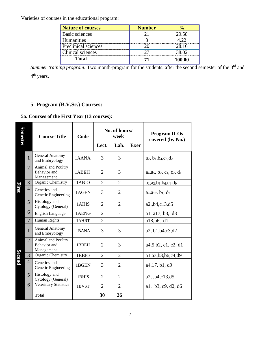Varieties of courses in the educational program:

| Nature of courses    | <b>Number</b> |        |
|----------------------|---------------|--------|
| Basic sciences       |               | 29.58  |
| Humanities           |               |        |
| Preclinical sciences |               | 28.16  |
| Clinical sciences    |               | 38 O2  |
| Total                |               | 100.00 |

*Summer training program:* Two month-program for the students. after the second semester of the 3<sup>rd</sup> and 4<sup>th</sup> years.

# **5- Program (B.V.Sc.) Courses:**

# **5a. Courses of the First Year (13 courses):**

| <b>Semester</b> |                | <b>Course Title</b>                              | Code  |                | No. of hours/<br>week    |             | <b>Program ILOs</b><br>covered (by No.)       |
|-----------------|----------------|--------------------------------------------------|-------|----------------|--------------------------|-------------|-----------------------------------------------|
|                 |                |                                                  |       | Lect.          | Lab.                     | <b>Exer</b> |                                               |
|                 | $\mathbf{1}$   | General Anatomy<br>and Embryology                | 1AANA | 3              | 3                        |             | $a_2, b_1, b_4, c_3, d_2$                     |
|                 | $\overline{2}$ | Animal and Poultry<br>Behavior and<br>Management | 1ABEH | 2              | 3                        |             | $a_4$ , $a_5$ , $b_2$ , $c_1$ , $c_2$ , $d_1$ |
|                 | 3              | Organic Chemistry                                | 1ABIO | $\overline{2}$ | $\overline{2}$           |             | $a_1$ , $a_3$ , $b_3$ , $b_6$ , $c_4$ , $d_9$ |
| <b>Eirst</b>    | $\overline{4}$ | Genetics and<br>Genetic Engineering              | 1AGEN | 3              | $\overline{2}$           |             | $a_4, a_{17}, b_1, d_9$                       |
|                 | 5              | Histology and<br>Cytology (General)              | 1AHIS | $\overline{2}$ | $\overline{2}$           |             | a2,,b4,c13,d5                                 |
|                 | 6              | English Language                                 | 1AENG | $\overline{2}$ | -                        |             | a1, a17, b3, d3                               |
|                 | $\overline{7}$ | Human Rights                                     | 1AHRT | $\overline{2}$ | $\overline{\phantom{0}}$ |             | a18,b6, d1                                    |
|                 | $\mathbf{1}$   | General Anatomy<br>and Embryology                | 1BANA | 3              | 3                        |             | a2, b1, b4, c3, d2                            |
|                 | $\overline{2}$ | Animal and Poultry<br>Behavior and<br>Management | 1BBEH | $\overline{2}$ | 3                        |             | a4,5,b2, c1, c2, d1                           |
|                 | 3              | Organic Chemistry                                | 1BBIO | $\overline{2}$ | $\overline{2}$           |             | a1,a3,b3,b6,c4,d9                             |
| Second          | $\overline{4}$ | Genetics and<br>Genetic Engineering              | 1BGEN | 3              | 2                        |             | a4,17, b1, d9                                 |
|                 | 5              | Histology and<br>Cytology (General)              | 1BHIS | $\overline{2}$ | $\overline{2}$           |             | a2, b4, c13, d5                               |
|                 | 6              | <b>Veterinary Statistics</b>                     | 1BVST | $\overline{2}$ | $\overline{2}$           |             | a1, b3, c9, d2, d6                            |
|                 |                | <b>Total</b>                                     |       | 30             | 26                       |             |                                               |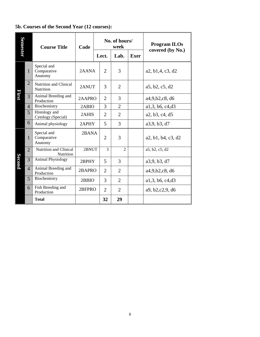# **5b. Courses of the Second Year (12 courses):**

| Semester     |                | <b>Course Title</b>                   | Code   | No. of hours/<br>week |                |                |             | <b>Program ILOs</b><br>covered (by No.) |
|--------------|----------------|---------------------------------------|--------|-----------------------|----------------|----------------|-------------|-----------------------------------------|
|              |                |                                       |        |                       | Lect.          | Lab.           | <b>Exer</b> |                                         |
|              | $\mathbf{1}$   | Special and<br>Comparative<br>Anatomy | 2AANA  |                       | $\overline{2}$ | 3              |             | a2, b1,4, c3, d2                        |
|              | $\overline{2}$ | Nutrition and Clinical<br>Nutrition   | 2ANUT  |                       | 3              | $\overline{2}$ |             | a5, b2, c5, d2                          |
| <b>Rirst</b> | 3              | Animal Breeding and<br>Production     | 2AAPRO |                       | $\overline{2}$ | 3              |             | a4,9,b2,c8, d6                          |
|              | $\overline{4}$ | Biochemistry                          | 2ABIO  |                       | 3              | $\overline{2}$ |             | a1,3, b6, c4, d3                        |
|              | 5              | Histology and<br>Cytology (Special)   | 2AHIS  |                       | $\overline{2}$ | $\overline{2}$ |             | a2, b3, c4, d5                          |
|              | 6              | Animal physiology                     | 2APHY  |                       | 5              | 3              |             | a3,9, b3, d7                            |
|              | 1              | Special and<br>Comparative<br>Anatomy | 2BANA  |                       | $\overline{2}$ | 3              |             | a2, b1, b4, c3, d2                      |
|              | $\overline{2}$ | Nutrition and Clinical<br>Nutrition   | 2BNUT  |                       | 3              | $\mathfrak{D}$ |             | a5, b2, c5, d2                          |
| Second       | 3              | <b>Animal Physiology</b>              | 2BPHY  |                       | 5              | 3              |             | a3,9, b3, d7                            |
|              | $\overline{4}$ | Animal Breeding and<br>Production     | 2BAPRO |                       | 2              | $\overline{2}$ |             | a4,9,b2,c8, d6                          |
|              | 5              | Biochemistry                          | 2BBIO  |                       | 3              | $\overline{2}$ |             | a1,3, b6, c4, d3                        |
|              | 6              | Fish Breeding and<br>Production       | 2BFPRO |                       | $\overline{2}$ | $\overline{2}$ |             | a9, b2, c2, 9, d6                       |
|              |                | <b>Total</b>                          |        |                       | 32             | 29             |             |                                         |

 $\overline{a}$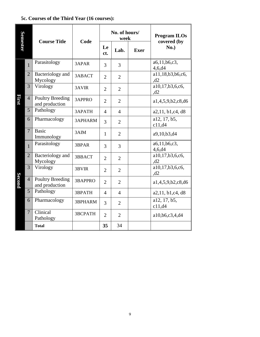# **5c. Courses of the Third Year (16 courses):**

| <b>Semester</b> |                | <b>Course Title</b>                       | Code           |                | No. of hours/<br>week |             | <b>Program ILOs</b><br>covered (by |
|-----------------|----------------|-------------------------------------------|----------------|----------------|-----------------------|-------------|------------------------------------|
|                 |                |                                           |                | Le<br>ct.      | Lab.                  | <b>Exer</b> | No.)                               |
|                 | $\mathbf{1}$   | Parasitology                              | 3APAR          | 3              | 3                     |             | a6,11,b6,c3,<br>4,6,d4             |
|                 | $\overline{2}$ | Bacteriology and<br>Mycology              | 3ABACT         | $\overline{2}$ | $\overline{2}$        |             | a11,18,b3,b6,c6,<br>,d2            |
|                 | 3              | Virology                                  | 3AVIR          | $\overline{2}$ | $\overline{2}$        |             | a10,17,b3,6,c6,<br>,d2             |
| First           | $\overline{4}$ | <b>Poultry Breeding</b><br>and production | 3APPRO         | $\overline{2}$ | $\overline{2}$        |             | a1,4,5,9,b2,c8,d6                  |
|                 | 5              | Pathology                                 | 3APATH         | 4              | $\overline{4}$        |             | a2,11, b1, c4, d8                  |
|                 | 6              | Pharmacology                              | <b>3APHARM</b> | 3              | $\overline{2}$        |             | a12, 17, b5,<br>c11,d4             |
|                 | $\overline{7}$ | <b>Basic</b><br>Immunology                | 3AIM           | $\mathbf{1}$   | $\overline{2}$        |             | a9,10,b3,d4                        |
|                 | $\mathbf{1}$   | Parasitology                              | 3BPAR          | 3              | 3                     |             | a6,11,b6,c3,<br>4,6, d4            |
|                 | $\overline{2}$ | Bacteriology and<br>Mycology              | 3BBACT         | $\overline{2}$ | $\overline{2}$        |             | a10,17,b3,6,c6,<br>,d2             |
|                 | 3              | Virology                                  | 3BVIR          | $\overline{2}$ | $\overline{2}$        |             | a10, 17, b3, 6, c6,<br>,d2         |
| <b>Second</b>   | $\overline{4}$ | <b>Poultry Breeding</b><br>and production | <b>3BAPPRO</b> | $\overline{2}$ | $\overline{2}$        |             | a1,4,5,9,b2,c8,d6                  |
|                 | 5              | Pathology                                 | 3BPATH         | $\overline{4}$ | $\overline{4}$        |             | a2,11, b1, c4, d8                  |
|                 | 6              | Pharmacology                              | 3BPHARM        | 3              | $\overline{2}$        |             | a12, 17, b5,<br>c11,d4             |
|                 | $\overline{7}$ | Clinical<br>Pathology                     | <b>3BCPATH</b> | $\overline{2}$ | $\overline{2}$        |             | a10,b6,c3,4,d4                     |
|                 |                | <b>Total</b>                              |                | 35             | 34                    |             |                                    |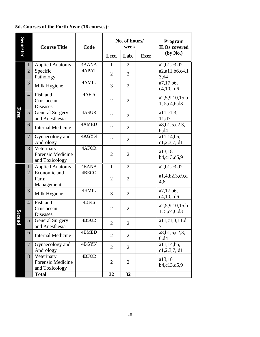# **5d. Courses of the Forth Year (16 courses):**

| <b>Semester</b> |                | <b>Course Title</b>                                      | Code  |                | No. of hours/<br>week | Program<br><b>ILOs</b> covered |                                   |
|-----------------|----------------|----------------------------------------------------------|-------|----------------|-----------------------|--------------------------------|-----------------------------------|
|                 |                |                                                          |       | Lect.          | Lab.                  | <b>Exer</b>                    | (by No.)                          |
|                 | $\mathbf{1}$   | <b>Applied Anatomy</b>                                   | 4AANA | $\mathbf{1}$   | $\overline{2}$        |                                | a2,b1,c3,d2                       |
|                 | $\overline{2}$ | Specific<br>Pathology                                    | 4APAT | $\overline{2}$ | $\overline{2}$        |                                | a2,a11,b6,c4,1<br>3,d4            |
|                 | 3              | Milk Hygiene                                             | 4AMIL | 3              | $\overline{2}$        |                                | a7,17 b6,<br>c4, 10, d6           |
|                 | $\overline{4}$ | Fish and<br>Crustacean<br><b>Diseases</b>                | 4AFIS | $\overline{2}$ | $\overline{2}$        |                                | a2,5,9,10,15,b<br>1, 5, c4, 6, d3 |
| First           | 5              | <b>General Surgery</b><br>and Anesthesia                 | 4ASUR | $\overline{2}$ | $\overline{2}$        |                                | $a11,c1,3$ ,<br>11, d7            |
|                 | 6              | <b>Internal Medicine</b>                                 | 4AMED | $\overline{2}$ | $\overline{2}$        |                                | a8,b1,5,c2,3,<br>6, d4            |
|                 | $\overline{7}$ | Gynaecology and<br>Andrology                             | 4AGYN | $\overline{2}$ | $\overline{2}$        |                                | a11,14,b5,<br>c1,2,3,7, d1        |
|                 | 8              | Veterinary<br><b>Forensic Medicine</b><br>and Toxicology | 4AFOR | $\overline{2}$ | $\overline{2}$        |                                | a13,18<br>b4,c13,d5,9             |
|                 | $\mathbf{1}$   | <b>Applied Anatomy</b>                                   | 4BANA | $\mathbf{1}$   | $\overline{2}$        |                                | a2,b1,c3,d2                       |
|                 | $\overline{2}$ | Economic and<br>Farm<br>Management                       | 4BECO | $\overline{2}$ | $\overline{2}$        |                                | a1,4,b2,3,c9,d<br>4,6             |
|                 | 3              | Milk Hygiene                                             | 4BMIL | 3              | $\overline{2}$        |                                | a7,17 b6,<br>c4,10, d6            |
| <b>Secomo</b>   | $\overline{4}$ | Fish and<br>Crustacean<br><b>Diseases</b>                | 4BFIS | $\overline{2}$ | $\overline{2}$        |                                | a2,5,9,10,15,b<br>1, 5, c4, 6, d3 |
|                 | 5              | <b>General Surgery</b><br>and Anesthesia                 | 4BSUR | $\overline{2}$ | $\boldsymbol{2}$      |                                | a11,c1,3,11,d<br>7                |
|                 | 6              | <b>Internal Medicine</b>                                 | 4BMED | $\overline{2}$ | $\overline{2}$        |                                | a8, b1, 5, c2, 3,<br>6, d4        |
|                 | $\overline{7}$ | Gynaecology and<br>Andrology                             | 4BGYN | $\overline{2}$ | $\overline{2}$        |                                | a11,14,b5,<br>c1, 2, 3, 7, d1     |
|                 | 8              | Veterinary<br>Forensic Medicine<br>and Toxicology        | 4BFOR | $\overline{2}$ | $\overline{2}$        |                                | a13,18<br>b4,c13,d5,9             |
|                 |                | <b>Total</b>                                             |       | 32             | 32                    |                                |                                   |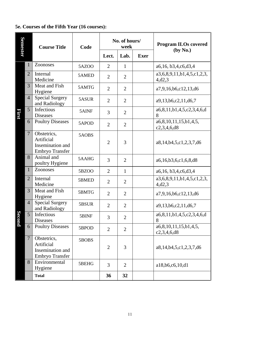# **5e. Courses of the Fifth Year (16 courses):**

| <b>Semester</b>    |                | <b>Course Title</b>                                              | Code         |                | No. of hours/<br>week |             | <b>Program ILOs covered</b><br>(by No.) |
|--------------------|----------------|------------------------------------------------------------------|--------------|----------------|-----------------------|-------------|-----------------------------------------|
|                    |                |                                                                  |              | Lect.          | Lab.                  | <b>Exer</b> |                                         |
|                    | $\mathbf{1}$   | Zoonoses                                                         | <b>5AZOO</b> | $\overline{2}$ | $\mathbf{1}$          |             | a6,16, b3,4,c6,d3,4                     |
|                    | $\overline{2}$ | Internal<br>Medicine                                             | 5AMED        | $\overline{2}$ | $\overline{2}$        |             | a3,6,8,9,11,b1,4,5,c1,2,3,<br>4,d2,3    |
|                    | 3              | Meat and Fish<br>Hygiene                                         | 5AMTG        | $\overline{2}$ | $\overline{2}$        |             | a7,9,16,b6,c12,13,d6                    |
|                    | $\overline{4}$ | <b>Special Surgery</b><br>and Radiology                          | 5ASUR        | $\overline{2}$ | $\overline{2}$        |             | a9, 13, b6, c2, 11, d6, 7               |
| <b>First</b>       | 5              | Infectious<br><b>Diseases</b>                                    | 5AINF        | 3              | $\overline{2}$        |             | a6,8,11,b1,4,5,c2,3,4,6,d<br>8          |
|                    | 6              | <b>Poultry Diseases</b>                                          | 5APOD        | $\overline{2}$ | $\overline{2}$        |             | a6,8,10,11,15,b1,4,5,<br>c2,3,4,6,d8    |
|                    | $\overline{7}$ | Obstetrics,<br>Artificial<br>Insemination and<br>Embryo Transfer | 5AOBS        | $\overline{2}$ | 3                     |             | a8,14,b4,5,c1,2,3,7,d6                  |
|                    | 8              | Animal and<br>poultry Hygiene                                    | 5AAHG        | 3              | $\overline{2}$        |             | a6,16,b3,6,c1,6,8,d8                    |
|                    | $\mathbf{1}$   | Zoonoses                                                         | 5BZ00        | $\overline{2}$ | $\mathbf{1}$          |             | a6,16, b3,4,c6,d3,4                     |
|                    | $\overline{2}$ | Internal<br>Medicine                                             | 5BMED        | $\overline{2}$ | $\overline{2}$        |             | a3,6,8,9,11,b1,4,5,c1,2,3,<br>4,d2,3    |
|                    | 3              | Meat and Fish<br>Hygiene                                         | 5BMTG        | $\overline{2}$ | $\overline{2}$        |             | a7,9,16,b6,c12,13,d6                    |
|                    | $\overline{4}$ | Special Surgery<br>and Radiology                                 | 5BSUR        | $\overline{2}$ | $\overline{2}$        |             | a9,13,b6,c2,11,d6,7                     |
| Secon              | 5              | Infectious<br><b>Diseases</b>                                    | 5BINF        | 3              | $\overline{2}$        |             | a6,8,11,b1,4,5,c2,3,4,6,d<br>8          |
| $\bar{\mathbf{p}}$ | 6              | <b>Poultry Diseases</b>                                          | 5BPOD        | $\overline{2}$ | $\overline{2}$        |             | a6,8,10,11,15,b1,4,5,<br>c2,3,4,6,d8    |
|                    | $\overline{7}$ | Obstetrics,<br>Artificial<br>Insemination and<br>Embryo Transfer | 5BOBS        | $\mathbf{2}$   | 3                     |             | a8,14,b4,5,c1,2,3,7,d6                  |
|                    | 8              | Environmental<br>Hygiene                                         | 5BEHG        | 3              | $\overline{2}$        |             | a18,b6,c6,10,d1                         |
|                    |                | <b>Total</b>                                                     |              | 36             | 32                    |             |                                         |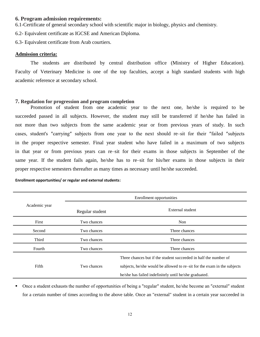### **6. Program admission requirements:**

6.1-Certificate of general secondary school with scientific major in biology, physics and chemistry.

6.2- Equivalent certificate as IGCSE and American Diploma.

6.3- Equivalent certificate from Arab courtiers.

#### **Admission criteria:**

The students are distributed by central distribution office (Ministry of Higher Education). Faculty of Veterinary Medicine is one of the top faculties, accept a high standard students with high academic reference at secondary school.

#### **7. Regulation for progression and program completion**

Promotion of student from one academic year to the next one, he/she is required to be succeeded passed in all subjects. However, the student may still be transferred if he/she has failed in not more than two subjects from the same academic year or from previous years of study. In such cases, student's ″carrying″ subjects from one year to the next should re–sit for their ″failed ″subjects in the proper respective semester. Final year student who have failed in a maximum of two subjects in that year or from previous years can re–sit for their exams in those subjects in September of the same year. If the student fails again, he/she has to re–sit for his/her exams in those subjects in their proper respective semesters thereafter as many times as necessary until he/she succeeded.

#### **Enrollment opportunities/ or regular and external students:**

|               | Enrollment opportunities |                                                                                                                                                                                                        |  |  |  |
|---------------|--------------------------|--------------------------------------------------------------------------------------------------------------------------------------------------------------------------------------------------------|--|--|--|
| Academic year | Regular student          | External student                                                                                                                                                                                       |  |  |  |
| First         | Two chances              | Non                                                                                                                                                                                                    |  |  |  |
| Second        | Two chances              | Three chances                                                                                                                                                                                          |  |  |  |
| Third         | Two chances              | Three chances                                                                                                                                                                                          |  |  |  |
| Fourth        | Two chances              | Three chances                                                                                                                                                                                          |  |  |  |
| Fifth         | Two chances              | Three chances but if the student succeeded in half the number of<br>subjects, he/she would be allowed to re–sit for the exam in the subjects<br>he/she has failed indefinitely until he/she graduated. |  |  |  |

■ Once a student exhausts the number of opportunities of being a "regular" student, he/she become an "external" student for a certain number of times according to the above table. Once an "external" student in a certain year succeeded in